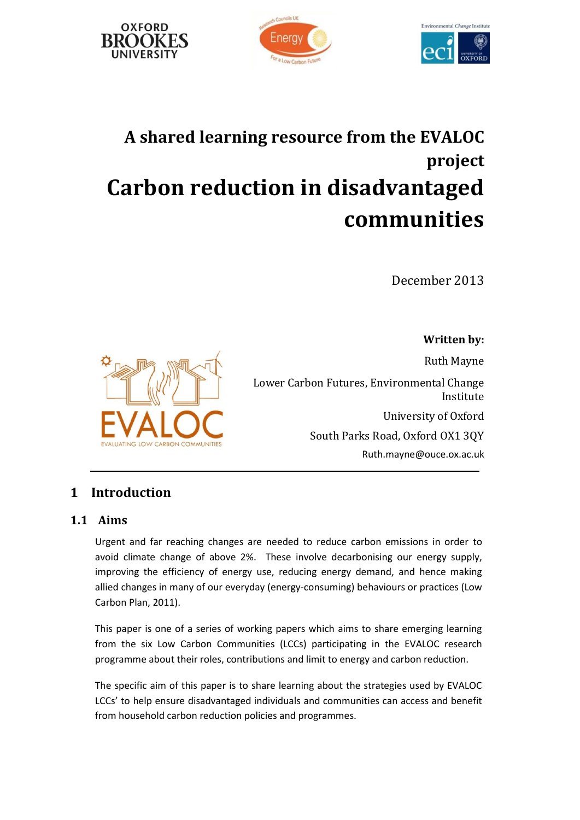





# **A shared learning resource from the EVALOC project Carbon reduction in disadvantaged communities**

December 2013

**Written by:**

Ruth Mayne

Lower Carbon Futures, Environmental Change Institute University of Oxford South Parks Road, Oxford OX1 3QY [Ruth.mayne@ouce.ox.ac.uk](mailto:Ruth.mayne@ouce.ox.ac.uk)

# **1 Introduction**

**RON COMMUNITIES** 

# **1.1 Aims**

Urgent and far reaching changes are needed to reduce carbon emissions in order to avoid climate change of above 2%. These involve decarbonising our energy supply, improving the efficiency of energy use, reducing energy demand, and hence making allied changes in many of our everyday (energy-consuming) behaviours or practices (Low Carbon Plan, 2011).

This paper is one of a series of working papers which aims to share emerging learning from the six Low Carbon Communities (LCCs) participating in the EVALOC research programme about their roles, contributions and limit to energy and carbon reduction.

The specific aim of this paper is to share learning about the strategies used by EVALOC LCCs' to help ensure disadvantaged individuals and communities can access and benefit from household carbon reduction policies and programmes.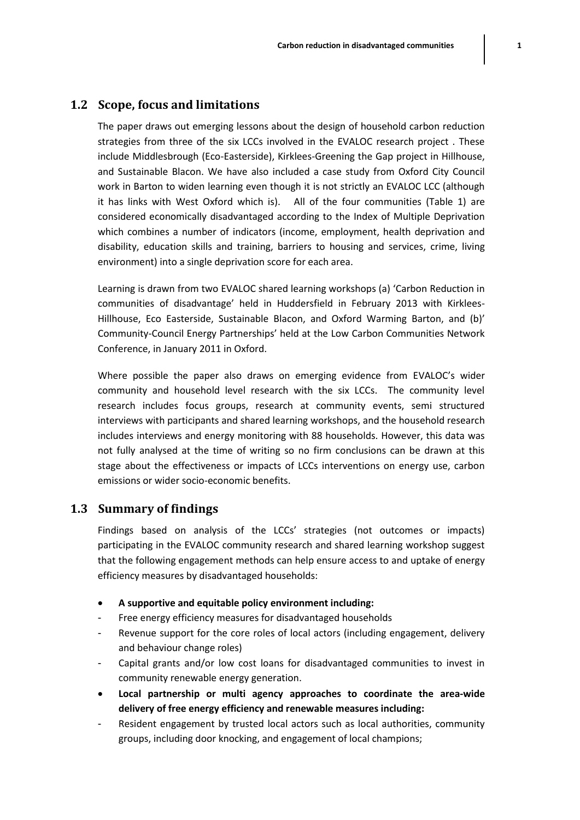#### **1.2 Scope, focus and limitations**

The paper draws out emerging lessons about the design of household carbon reduction strategies from three of the six LCCs involved in the EVALOC research project . These include Middlesbrough (Eco-Easterside), Kirklees-Greening the Gap project in Hillhouse, and Sustainable Blacon. We have also included a case study from Oxford City Council work in Barton to widen learning even though it is not strictly an EVALOC LCC (although it has links with West Oxford which is). All of the four communities (Table 1) are considered economically disadvantaged according to the Index of Multiple Deprivation which combines a number of indicators (income, employment, health deprivation and disability, education skills and training, barriers to housing and services, crime, living environment) into a single deprivation score for each area.

Learning is drawn from two EVALOC shared learning workshops (a) 'Carbon Reduction in communities of disadvantage' held in Huddersfield in February 2013 with Kirklees-Hillhouse, Eco Easterside, Sustainable Blacon, and Oxford Warming Barton, and (b)' Community-Council Energy Partnerships' held at the Low Carbon Communities Network Conference, in January 2011 in Oxford.

Where possible the paper also draws on emerging evidence from EVALOC's wider community and household level research with the six LCCs. The community level research includes focus groups, research at community events, semi structured interviews with participants and shared learning workshops, and the household research includes interviews and energy monitoring with 88 households. However, this data was not fully analysed at the time of writing so no firm conclusions can be drawn at this stage about the effectiveness or impacts of LCCs interventions on energy use, carbon emissions or wider socio-economic benefits.

#### **1.3 Summary of findings**

Findings based on analysis of the LCCs' strategies (not outcomes or impacts) participating in the EVALOC community research and shared learning workshop suggest that the following engagement methods can help ensure access to and uptake of energy efficiency measures by disadvantaged households:

- **A supportive and equitable policy environment including:**
- Free energy efficiency measures for disadvantaged households
- Revenue support for the core roles of local actors (including engagement, delivery and behaviour change roles)
- Capital grants and/or low cost loans for disadvantaged communities to invest in community renewable energy generation.
- **Local partnership or multi agency approaches to coordinate the area-wide delivery of free energy efficiency and renewable measures including:**
- Resident engagement by trusted local actors such as local authorities, community groups, including door knocking, and engagement of local champions;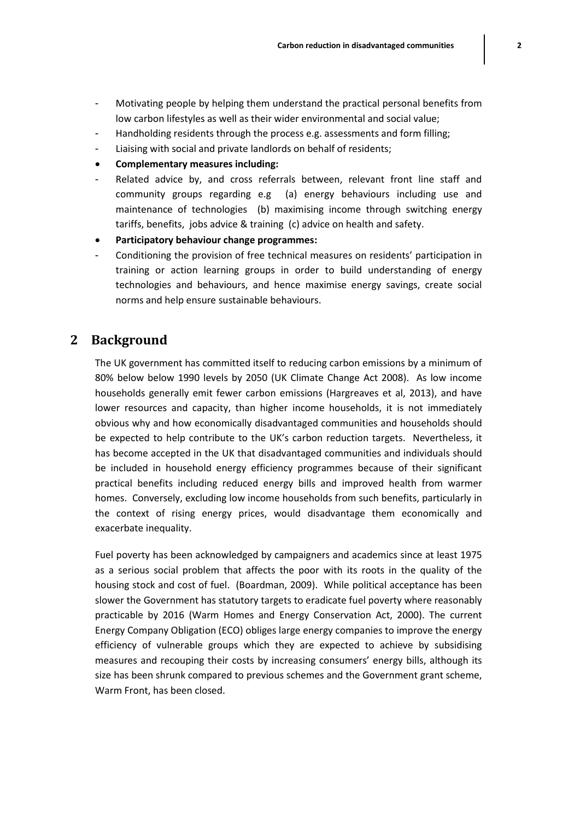- Motivating people by helping them understand the practical personal benefits from low carbon lifestyles as well as their wider environmental and social value;
- Handholding residents through the process e.g. assessments and form filling;
- Liaising with social and private landlords on behalf of residents;
- **Complementary measures including:**
- Related advice by, and cross referrals between, relevant front line staff and community groups regarding e.g (a) energy behaviours including use and maintenance of technologies (b) maximising income through switching energy tariffs, benefits, jobs advice & training (c) advice on health and safety.
- **Participatory behaviour change programmes:**
- Conditioning the provision of free technical measures on residents' participation in training or action learning groups in order to build understanding of energy technologies and behaviours, and hence maximise energy savings, create social norms and help ensure sustainable behaviours.

# **2 Background**

The UK government has committed itself to reducing carbon emissions by a minimum of 80% below below 1990 levels by 2050 (UK Climate Change Act 2008). As low income households generally emit fewer carbon emissions (Hargreaves et al, 2013), and have lower resources and capacity, than higher income households, it is not immediately obvious why and how economically disadvantaged communities and households should be expected to help contribute to the UK's carbon reduction targets. Nevertheless, it has become accepted in the UK that disadvantaged communities and individuals should be included in household energy efficiency programmes because of their significant practical benefits including reduced energy bills and improved health from warmer homes. Conversely, excluding low income households from such benefits, particularly in the context of rising energy prices, would disadvantage them economically and exacerbate inequality.

Fuel poverty has been acknowledged by campaigners and academics since at least 1975 as a serious social problem that affects the poor with its roots in the quality of the housing stock and cost of fuel. (Boardman, 2009). While political acceptance has been slower the Government has statutory targets to eradicate fuel poverty where reasonably practicable by 2016 (Warm Homes and Energy Conservation Act, 2000). The current Energy Company Obligation (ECO) obliges large energy companies to improve the energy efficiency of vulnerable groups which they are expected to achieve by subsidising measures and recouping their costs by increasing consumers' energy bills, although its size has been shrunk compared to previous schemes and the Government grant scheme, Warm Front, has been closed.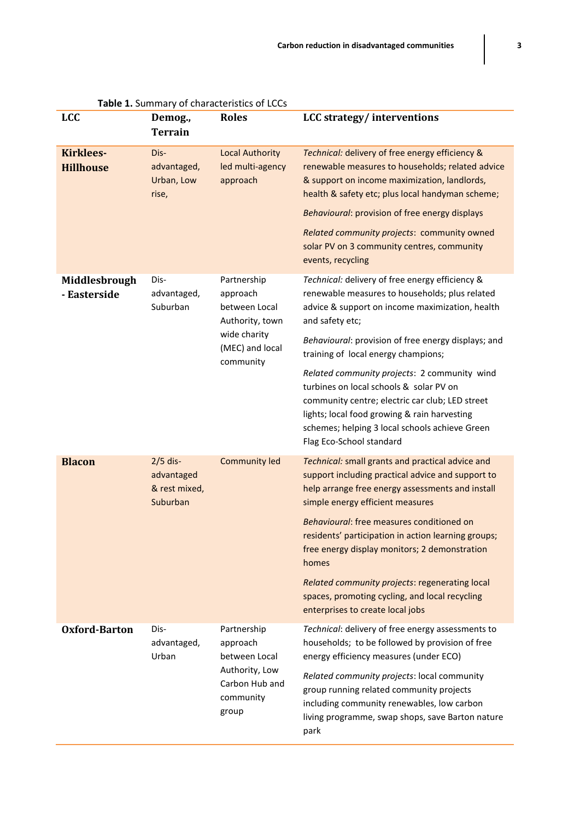| Table 1. Summary of characteristics of LCCs |                                                       |                                                                                                             |                                                                                                                                                                                                                                                                                                                                                                             |  |  |
|---------------------------------------------|-------------------------------------------------------|-------------------------------------------------------------------------------------------------------------|-----------------------------------------------------------------------------------------------------------------------------------------------------------------------------------------------------------------------------------------------------------------------------------------------------------------------------------------------------------------------------|--|--|
| <b>LCC</b>                                  | Demog.,<br><b>Terrain</b>                             | <b>Roles</b>                                                                                                | <b>LCC</b> strategy/ interventions                                                                                                                                                                                                                                                                                                                                          |  |  |
| <b>Kirklees-</b><br><b>Hillhouse</b>        | Dis-<br>advantaged,<br>Urban, Low<br>rise,            | <b>Local Authority</b><br>led multi-agency<br>approach                                                      | Technical: delivery of free energy efficiency &<br>renewable measures to households; related advice<br>& support on income maximization, landlords,<br>health & safety etc; plus local handyman scheme;<br>Behavioural: provision of free energy displays<br>Related community projects: community owned<br>solar PV on 3 community centres, community<br>events, recycling |  |  |
| Middlesbrough<br>- Easterside               | Dis-<br>advantaged,<br>Suburban                       | Partnership<br>approach<br>between Local<br>Authority, town<br>wide charity<br>(MEC) and local<br>community | Technical: delivery of free energy efficiency &<br>renewable measures to households; plus related<br>advice & support on income maximization, health<br>and safety etc;<br>Behavioural: provision of free energy displays; and<br>training of local energy champions;<br>Related community projects: 2 community wind                                                       |  |  |
|                                             |                                                       |                                                                                                             | turbines on local schools & solar PV on<br>community centre; electric car club; LED street<br>lights; local food growing & rain harvesting<br>schemes; helping 3 local schools achieve Green<br>Flag Eco-School standard                                                                                                                                                    |  |  |
| <b>Blacon</b>                               | $2/5$ dis-<br>advantaged<br>& rest mixed,<br>Suburban | <b>Community led</b>                                                                                        | Technical: small grants and practical advice and<br>support including practical advice and support to<br>help arrange free energy assessments and install<br>simple energy efficient measures                                                                                                                                                                               |  |  |
|                                             |                                                       |                                                                                                             | Behavioural: free measures conditioned on<br>residents' participation in action learning groups;<br>free energy display monitors; 2 demonstration<br>homes                                                                                                                                                                                                                  |  |  |
|                                             |                                                       |                                                                                                             | Related community projects: regenerating local<br>spaces, promoting cycling, and local recycling<br>enterprises to create local jobs                                                                                                                                                                                                                                        |  |  |
| Oxford-Barton                               | Dis-<br>advantaged,<br>Urban                          | Partnership<br>approach<br>between Local<br>Authority, Low<br>Carbon Hub and<br>community<br>group          | Technical: delivery of free energy assessments to<br>households; to be followed by provision of free<br>energy efficiency measures (under ECO)                                                                                                                                                                                                                              |  |  |
|                                             |                                                       |                                                                                                             | Related community projects: local community<br>group running related community projects<br>including community renewables, low carbon<br>living programme, swap shops, save Barton nature<br>park                                                                                                                                                                           |  |  |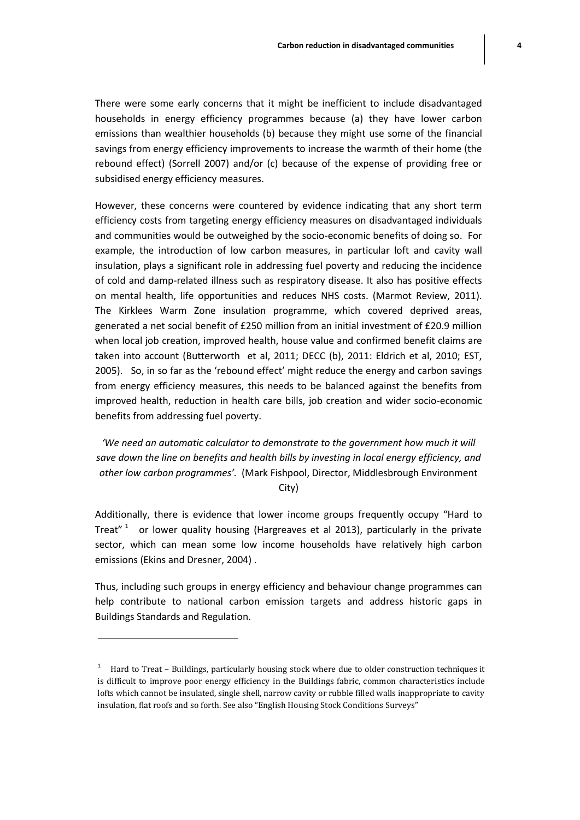There were some early concerns that it might be inefficient to include disadvantaged households in energy efficiency programmes because (a) they have lower carbon emissions than wealthier households (b) because they might use some of the financial savings from energy efficiency improvements to increase the warmth of their home (the rebound effect) (Sorrell 2007) and/or (c) because of the expense of providing free or subsidised energy efficiency measures.

However, these concerns were countered by evidence indicating that any short term efficiency costs from targeting energy efficiency measures on disadvantaged individuals and communities would be outweighed by the socio-economic benefits of doing so. For example, the introduction of low carbon measures, in particular loft and cavity wall insulation, plays a significant role in addressing fuel poverty and reducing the incidence of cold and damp-related illness such as respiratory disease. It also has positive effects on mental health, life opportunities and reduces NHS costs. (Marmot Review, 2011). The Kirklees Warm Zone insulation programme, which covered deprived areas, generated a net social benefit of £250 million from an initial investment of £20.9 million when local job creation, improved health, house value and confirmed benefit claims are taken into account (Butterworth et al, 2011; DECC (b), 2011: Eldrich et al, 2010; EST, 2005). So, in so far as the 'rebound effect' might reduce the energy and carbon savings from energy efficiency measures, this needs to be balanced against the benefits from improved health, reduction in health care bills, job creation and wider socio-economic benefits from addressing fuel poverty.

*'We need an automatic calculator to demonstrate to the government how much it will save down the line on benefits and health bills by investing in local energy efficiency, and other low carbon programmes'.* (Mark Fishpool, Director, Middlesbrough Environment

City)

Additionally, there is evidence that lower income groups frequently occupy "Hard to Treat"  $1$  or lower quality housing (Hargreaves et al 2013), particularly in the private sector, which can mean some low income households have relatively high carbon emissions (Ekins and Dresner, 2004) .

Thus, including such groups in energy efficiency and behaviour change programmes can help contribute to national carbon emission targets and address historic gaps in Buildings Standards and Regulation.

 $\overline{\phantom{a}}$ 

<sup>1</sup> Hard to Treat – Buildings, particularly housing stock where due to older construction techniques it is difficult to improve poor energy efficiency in the Buildings fabric, common characteristics include lofts which cannot be insulated, single shell, narrow cavity or rubble filled walls inappropriate to cavity insulation, flat roofs and so forth. See also "English Housing Stock Conditions Surveys"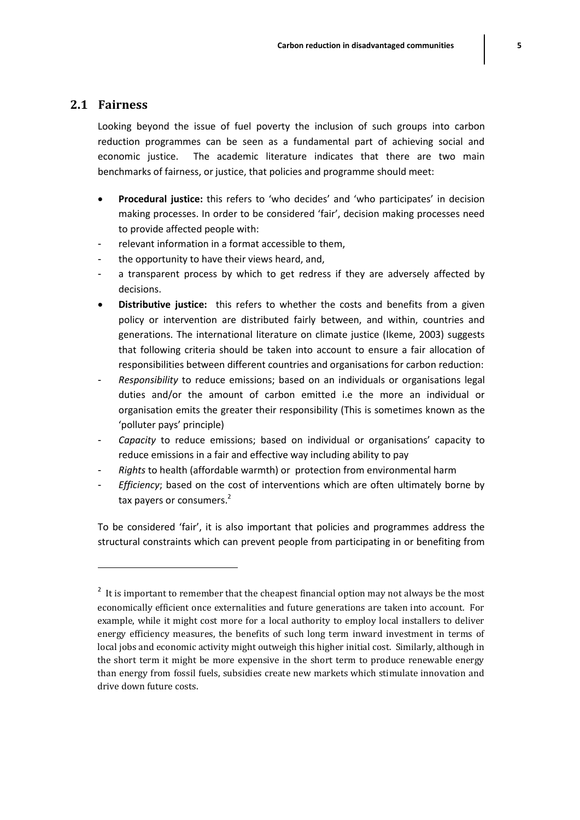#### **2.1 Fairness**

 $\overline{\phantom{a}}$ 

Looking beyond the issue of fuel poverty the inclusion of such groups into carbon reduction programmes can be seen as a fundamental part of achieving social and economic justice. The academic literature indicates that there are two main benchmarks of fairness, or justice, that policies and programme should meet:

- **Procedural justice:** this refers to 'who decides' and 'who participates' in decision making processes. In order to be considered 'fair', decision making processes need to provide affected people with:
- relevant information in a format accessible to them,
- the opportunity to have their views heard, and,
- a transparent process by which to get redress if they are adversely affected by decisions.
- **Distributive justice:** this refers to whether the costs and benefits from a given policy or intervention are distributed fairly between, and within, countries and generations. The international literature on climate justice (Ikeme, 2003) suggests that following criteria should be taken into account to ensure a fair allocation of responsibilities between different countries and organisations for carbon reduction:
- *Responsibility* to reduce emissions; based on an individuals or organisations legal duties and/or the amount of carbon emitted i.e the more an individual or organisation emits the greater their responsibility (This is sometimes known as the 'polluter pays' principle)
- *Capacity* to reduce emissions; based on individual or organisations' capacity to reduce emissions in a fair and effective way including ability to pay
- *Rights* to health (affordable warmth) or protection from environmental harm
- *Efficiency*; based on the cost of interventions which are often ultimately borne by tax payers or consumers.<sup>2</sup>

To be considered 'fair', it is also important that policies and programmes address the structural constraints which can prevent people from participating in or benefiting from

<sup>&</sup>lt;sup>2</sup> It is important to remember that the cheapest financial option may not always be the most economically efficient once externalities and future generations are taken into account. For example, while it might cost more for a local authority to employ local installers to deliver energy efficiency measures, the benefits of such long term inward investment in terms of local jobs and economic activity might outweigh this higher initial cost. Similarly, although in the short term it might be more expensive in the short term to produce renewable energy than energy from fossil fuels, subsidies create new markets which stimulate innovation and drive down future costs.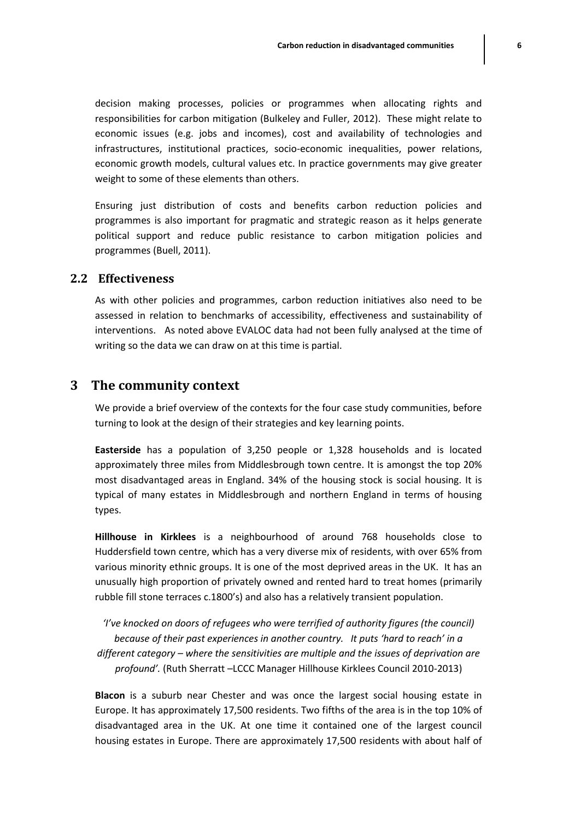decision making processes, policies or programmes when allocating rights and responsibilities for carbon mitigation (Bulkeley and Fuller, 2012). These might relate to economic issues (e.g. jobs and incomes), cost and availability of technologies and infrastructures, institutional practices, socio-economic inequalities, power relations, economic growth models, cultural values etc. In practice governments may give greater weight to some of these elements than others.

Ensuring just distribution of costs and benefits carbon reduction policies and programmes is also important for pragmatic and strategic reason as it helps generate political support and reduce public resistance to carbon mitigation policies and programmes (Buell, 2011).

#### **2.2 Effectiveness**

As with other policies and programmes, carbon reduction initiatives also need to be assessed in relation to benchmarks of accessibility, effectiveness and sustainability of interventions. As noted above EVALOC data had not been fully analysed at the time of writing so the data we can draw on at this time is partial.

#### **3 The community context**

We provide a brief overview of the contexts for the four case study communities, before turning to look at the design of their strategies and key learning points.

**Easterside** has a population of 3,250 people or 1,328 households and is located approximately three miles from Middlesbrough town centre. It is amongst the top 20% most disadvantaged areas in England. 34% of the housing stock is social housing. It is typical of many estates in Middlesbrough and northern England in terms of housing types.

**Hillhouse in Kirklees** is a neighbourhood of around 768 households close to Huddersfield town centre, which has a very diverse mix of residents, with over 65% from various minority ethnic groups. It is one of the most deprived areas in the UK. It has an unusually high proportion of privately owned and rented hard to treat homes (primarily rubble fill stone terraces c.1800's) and also has a relatively transient population.

*'I've knocked on doors of refugees who were terrified of authority figures (the council) because of their past experiences in another country. It puts 'hard to reach' in a different category – where the sensitivities are multiple and the issues of deprivation are profound'.* (Ruth Sherratt –LCCC Manager Hillhouse Kirklees Council 2010-2013)

**Blacon** is a suburb near Chester and was once the largest social housing estate in Europe. It has approximately 17,500 residents. Two fifths of the area is in the top 10% of disadvantaged area in the UK. At one time it contained one of the largest council housing estates in Europe. There are approximately 17,500 residents with about half of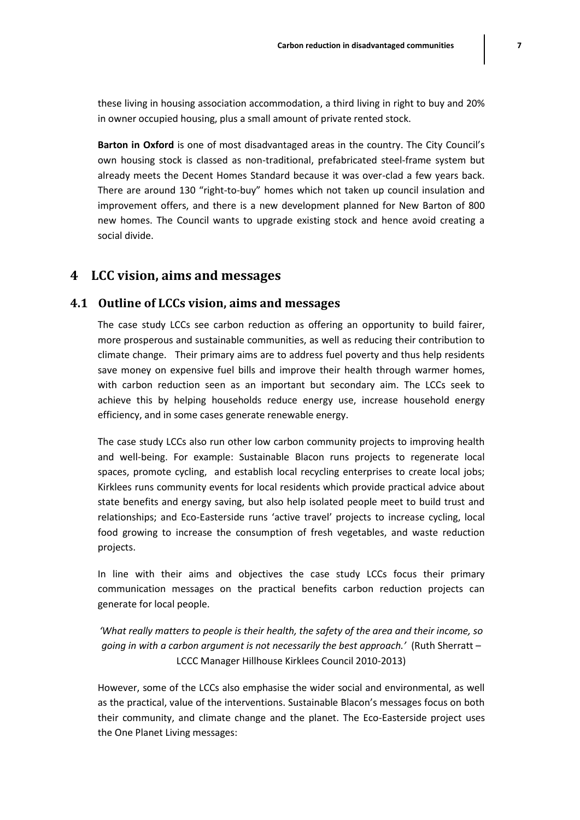these living in housing association accommodation, a third living in right to buy and 20% in owner occupied housing, plus a small amount of private rented stock.

**Barton in Oxford** is one of most disadvantaged areas in the country. The City Council's own housing stock is classed as non-traditional, prefabricated steel-frame system but already meets the Decent Homes Standard because it was over-clad a few years back. There are around 130 "right-to-buy" homes which not taken up council insulation and improvement offers, and there is a new development planned for New Barton of 800 new homes. The Council wants to upgrade existing stock and hence avoid creating a social divide.

#### **4 LCC vision, aims and messages**

#### **4.1 Outline of LCCs vision, aims and messages**

The case study LCCs see carbon reduction as offering an opportunity to build fairer, more prosperous and sustainable communities, as well as reducing their contribution to climate change. Their primary aims are to address fuel poverty and thus help residents save money on expensive fuel bills and improve their health through warmer homes, with carbon reduction seen as an important but secondary aim. The LCCs seek to achieve this by helping households reduce energy use, increase household energy efficiency, and in some cases generate renewable energy.

The case study LCCs also run other low carbon community projects to improving health and well-being. For example: Sustainable Blacon runs projects to regenerate local spaces, promote cycling, and establish local recycling enterprises to create local jobs; Kirklees runs community events for local residents which provide practical advice about state benefits and energy saving, but also help isolated people meet to build trust and relationships; and Eco-Easterside runs 'active travel' projects to increase cycling, local food growing to increase the consumption of fresh vegetables, and waste reduction projects.

In line with their aims and objectives the case study LCCs focus their primary communication messages on the practical benefits carbon reduction projects can generate for local people.

*'What really matters to people is their health, the safety of the area and their income, so going in with a carbon argument is not necessarily the best approach.'* (Ruth Sherratt – LCCC Manager Hillhouse Kirklees Council 2010-2013)

However, some of the LCCs also emphasise the wider social and environmental, as well as the practical, value of the interventions. Sustainable Blacon's messages focus on both their community, and climate change and the planet. The Eco-Easterside project uses the One Planet Living messages: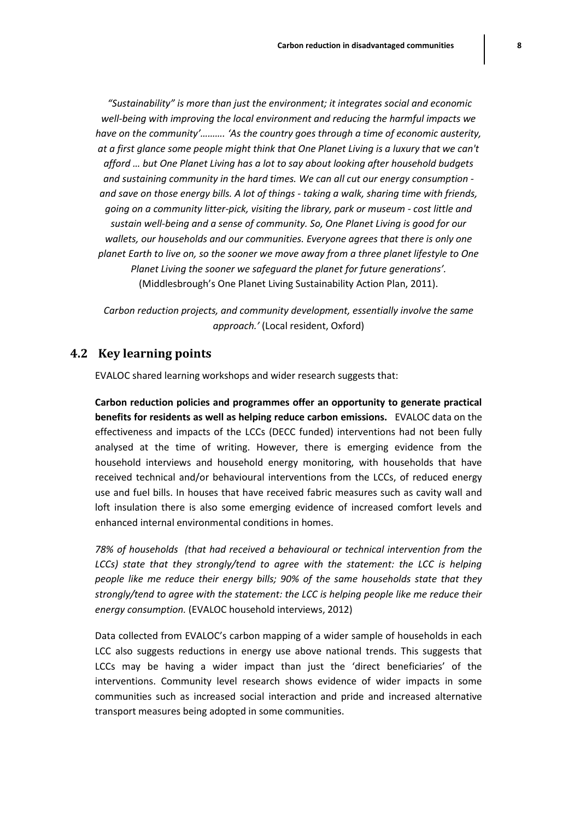*"Sustainability" is more than just the environment; it integrates social and economic well-being with improving the local environment and reducing the harmful impacts we have on the community'………. 'As the country goes through a time of economic austerity, at a first glance some people might think that One Planet Living is a luxury that we can't afford … but One Planet Living has a lot to say about looking after household budgets and sustaining community in the hard times. We can all cut our energy consumption and save on those energy bills. A lot of things - taking a walk, sharing time with friends, going on a community litter-pick, visiting the library, park or museum - cost little and sustain well-being and a sense of community. So, One Planet Living is good for our wallets, our households and our communities. Everyone agrees that there is only one planet Earth to live on, so the sooner we move away from a three planet lifestyle to One Planet Living the sooner we safeguard the planet for future generations'.*  (Middlesbrough's One Planet Living Sustainability Action Plan, 2011).

*Carbon reduction projects, and community development, essentially involve the same approach.'* (Local resident, Oxford)

#### **4.2 Key learning points**

EVALOC shared learning workshops and wider research suggests that:

**Carbon reduction policies and programmes offer an opportunity to generate practical benefits for residents as well as helping reduce carbon emissions.** EVALOC data on the effectiveness and impacts of the LCCs (DECC funded) interventions had not been fully analysed at the time of writing. However, there is emerging evidence from the household interviews and household energy monitoring, with households that have received technical and/or behavioural interventions from the LCCs, of reduced energy use and fuel bills. In houses that have received fabric measures such as cavity wall and loft insulation there is also some emerging evidence of increased comfort levels and enhanced internal environmental conditions in homes.

*78% of households (that had received a behavioural or technical intervention from the LCCs)* state that they strongly/tend to agree with the statement: the LCC is helping *people like me reduce their energy bills; 90% of the same households state that they strongly/tend to agree with the statement: the LCC is helping people like me reduce their energy consumption.* (EVALOC household interviews, 2012)

Data collected from EVALOC's carbon mapping of a wider sample of households in each LCC also suggests reductions in energy use above national trends. This suggests that LCCs may be having a wider impact than just the 'direct beneficiaries' of the interventions. Community level research shows evidence of wider impacts in some communities such as increased social interaction and pride and increased alternative transport measures being adopted in some communities.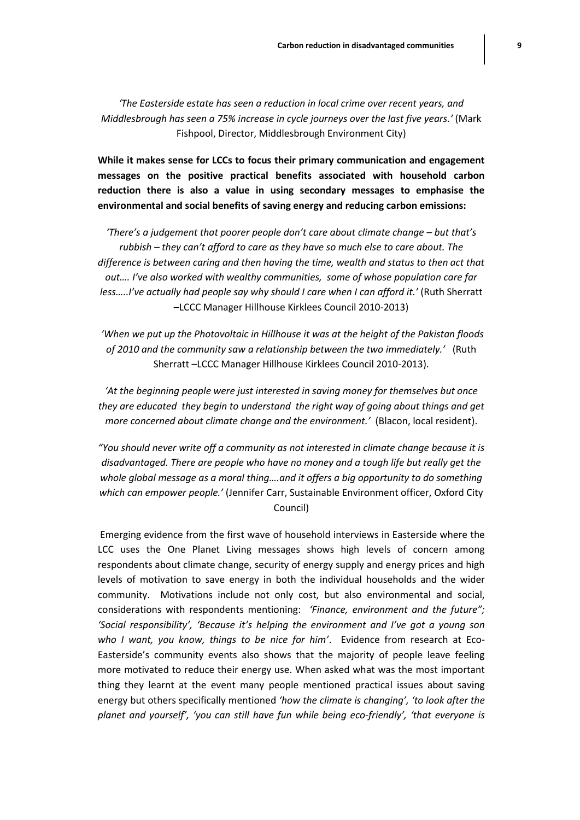*'The Easterside estate has seen a reduction in local crime over recent years, and Middlesbrough has seen a 75% increase in cycle journeys over the last five years.'* (Mark Fishpool, Director, Middlesbrough Environment City)

**While it makes sense for LCCs to focus their primary communication and engagement messages on the positive practical benefits associated with household carbon reduction there is also a value in using secondary messages to emphasise the environmental and social benefits of saving energy and reducing carbon emissions:**

*'There's a judgement that poorer people don't care about climate change – but that's rubbish – they can't afford to care as they have so much else to care about. The difference is between caring and then having the time, wealth and status to then act that out…. I've also worked with wealthy communities, some of whose population care far less…..I've actually had people say why should I care when I can afford it.'* (Ruth Sherratt –LCCC Manager Hillhouse Kirklees Council 2010-2013)

*'When we put up the Photovoltaic in Hillhouse it was at the height of the Pakistan floods of 2010 and the community saw a relationship between the two immediately.'* (Ruth Sherratt –LCCC Manager Hillhouse Kirklees Council 2010-2013).

*'At the beginning people were just interested in saving money for themselves but once they are educated they begin to understand the right way of going about things and get more concerned about climate change and the environment.'* (Blacon, local resident).

*"You should never write off a community as not interested in climate change because it is disadvantaged. There are people who have no money and a tough life but really get the whole global message as a moral thing….and it offers a big opportunity to do something which can empower people.'* (Jennifer Carr, Sustainable Environment officer, Oxford City Council)

Emerging evidence from the first wave of household interviews in Easterside where the LCC uses the One Planet Living messages shows high levels of concern among respondents about climate change, security of energy supply and energy prices and high levels of motivation to save energy in both the individual households and the wider community. Motivations include not only cost, but also environmental and social, considerations with respondents mentioning: *'Finance, environment and the future"; 'Social responsibility', 'Because it's helping the environment and I've got a young son who I want, you know, things to be nice for him'*. Evidence from research at Eco-Easterside's community events also shows that the majority of people leave feeling more motivated to reduce their energy use. When asked what was the most important thing they learnt at the event many people mentioned practical issues about saving energy but others specifically mentioned *'how the climate is changing', 'to look after the planet and yourself', 'you can still have fun while being eco-friendly', 'that everyone is*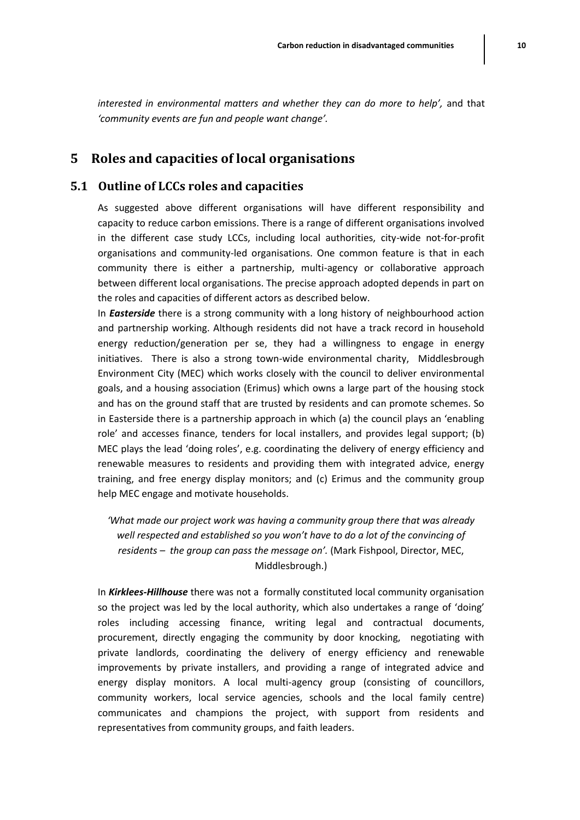# **5 Roles and capacities of local organisations**

*'community events are fun and people want change'.*

#### **5.1 Outline of LCCs roles and capacities**

As suggested above different organisations will have different responsibility and capacity to reduce carbon emissions. There is a range of different organisations involved in the different case study LCCs, including local authorities, city-wide not-for-profit organisations and community-led organisations. One common feature is that in each community there is either a partnership, multi-agency or collaborative approach between different local organisations. The precise approach adopted depends in part on the roles and capacities of different actors as described below.

In *Easterside* there is a strong community with a long history of neighbourhood action and partnership working. Although residents did not have a track record in household energy reduction/generation per se, they had a willingness to engage in energy initiatives. There is also a strong town-wide environmental charity, Middlesbrough Environment City (MEC) which works closely with the council to deliver environmental goals, and a housing association (Erimus) which owns a large part of the housing stock and has on the ground staff that are trusted by residents and can promote schemes. So in Easterside there is a partnership approach in which (a) the council plays an 'enabling role' and accesses finance, tenders for local installers, and provides legal support; (b) MEC plays the lead 'doing roles', e.g. coordinating the delivery of energy efficiency and renewable measures to residents and providing them with integrated advice, energy training, and free energy display monitors; and (c) Erimus and the community group help MEC engage and motivate households.

*'What made our project work was having a community group there that was already well respected and established so you won't have to do a lot of the convincing of residents – the group can pass the message on'.* (Mark Fishpool, Director, MEC, Middlesbrough.)

In *Kirklees-Hillhouse* there was not a formally constituted local community organisation so the project was led by the local authority, which also undertakes a range of 'doing' roles including accessing finance, writing legal and contractual documents, procurement, directly engaging the community by door knocking, negotiating with private landlords, coordinating the delivery of energy efficiency and renewable improvements by private installers, and providing a range of integrated advice and energy display monitors. A local multi-agency group (consisting of councillors, community workers, local service agencies, schools and the local family centre) communicates and champions the project, with support from residents and representatives from community groups, and faith leaders.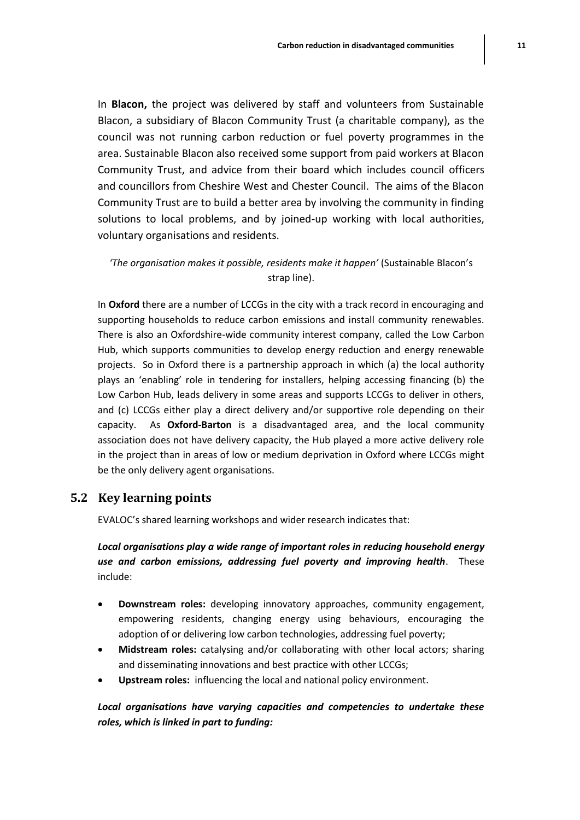In **Blacon,** the project was delivered by staff and volunteers from Sustainable Blacon, a subsidiary of Blacon Community Trust (a charitable company), as the council was not running carbon reduction or fuel poverty programmes in the area. Sustainable Blacon also received some support from paid workers at Blacon Community Trust, and advice from their board which includes council officers and councillors from Cheshire West and Chester Council. The aims of the Blacon Community Trust are to build a better area by involving the community in finding solutions to local problems, and by joined-up working with local authorities, voluntary organisations and residents.

*'The organisation makes it possible, residents make it happen'* (Sustainable Blacon's strap line).

In **Oxford** there are a number of LCCGs in the city with a track record in encouraging and supporting households to reduce carbon emissions and install community renewables. There is also an Oxfordshire-wide community interest company, called the Low Carbon Hub, which supports communities to develop energy reduction and energy renewable projects. So in Oxford there is a partnership approach in which (a) the local authority plays an 'enabling' role in tendering for installers, helping accessing financing (b) the Low Carbon Hub, leads delivery in some areas and supports LCCGs to deliver in others, and (c) LCCGs either play a direct delivery and/or supportive role depending on their capacity. As **Oxford-Barton** is a disadvantaged area, and the local community association does not have delivery capacity, the Hub played a more active delivery role in the project than in areas of low or medium deprivation in Oxford where LCCGs might be the only delivery agent organisations.

#### **5.2 Key learning points**

EVALOC's shared learning workshops and wider research indicates that:

*Local organisations play a wide range of important roles in reducing household energy use and carbon emissions, addressing fuel poverty and improving health*. These include:

- **Downstream roles:** developing innovatory approaches, community engagement, empowering residents, changing energy using behaviours, encouraging the adoption of or delivering low carbon technologies, addressing fuel poverty;
- **Midstream roles:** catalysing and/or collaborating with other local actors; sharing and disseminating innovations and best practice with other LCCGs;
- **Upstream roles:** influencing the local and national policy environment.

*Local organisations have varying capacities and competencies to undertake these roles, which is linked in part to funding:*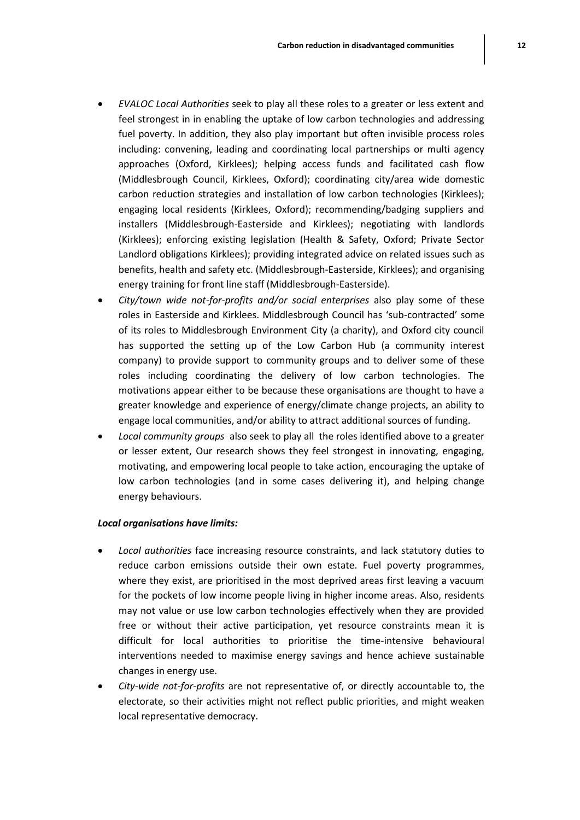- *EVALOC Local Authorities* seek to play all these roles to a greater or less extent and feel strongest in in enabling the uptake of low carbon technologies and addressing fuel poverty. In addition, they also play important but often invisible process roles including: convening, leading and coordinating local partnerships or multi agency approaches (Oxford, Kirklees); helping access funds and facilitated cash flow (Middlesbrough Council, Kirklees, Oxford); coordinating city/area wide domestic carbon reduction strategies and installation of low carbon technologies (Kirklees); engaging local residents (Kirklees, Oxford); recommending/badging suppliers and installers (Middlesbrough-Easterside and Kirklees); negotiating with landlords (Kirklees); enforcing existing legislation (Health & Safety, Oxford; Private Sector Landlord obligations Kirklees); providing integrated advice on related issues such as benefits, health and safety etc. (Middlesbrough-Easterside, Kirklees); and organising energy training for front line staff (Middlesbrough-Easterside).
- *City/town wide not-for-profits and/or social enterprises* also play some of these roles in Easterside and Kirklees. Middlesbrough Council has 'sub-contracted' some of its roles to Middlesbrough Environment City (a charity), and Oxford city council has supported the setting up of the Low Carbon Hub (a community interest company) to provide support to community groups and to deliver some of these roles including coordinating the delivery of low carbon technologies. The motivations appear either to be because these organisations are thought to have a greater knowledge and experience of energy/climate change projects, an ability to engage local communities, and/or ability to attract additional sources of funding.
- *Local community groups* also seek to play all the roles identified above to a greater or lesser extent, Our research shows they feel strongest in innovating, engaging, motivating, and empowering local people to take action, encouraging the uptake of low carbon technologies (and in some cases delivering it), and helping change energy behaviours.

#### *Local organisations have limits:*

- *Local authorities* face increasing resource constraints, and lack statutory duties to reduce carbon emissions outside their own estate. Fuel poverty programmes, where they exist, are prioritised in the most deprived areas first leaving a vacuum for the pockets of low income people living in higher income areas. Also, residents may not value or use low carbon technologies effectively when they are provided free or without their active participation, yet resource constraints mean it is difficult for local authorities to prioritise the time-intensive behavioural interventions needed to maximise energy savings and hence achieve sustainable changes in energy use.
- *City-wide not-for-profits* are not representative of, or directly accountable to, the electorate, so their activities might not reflect public priorities, and might weaken local representative democracy.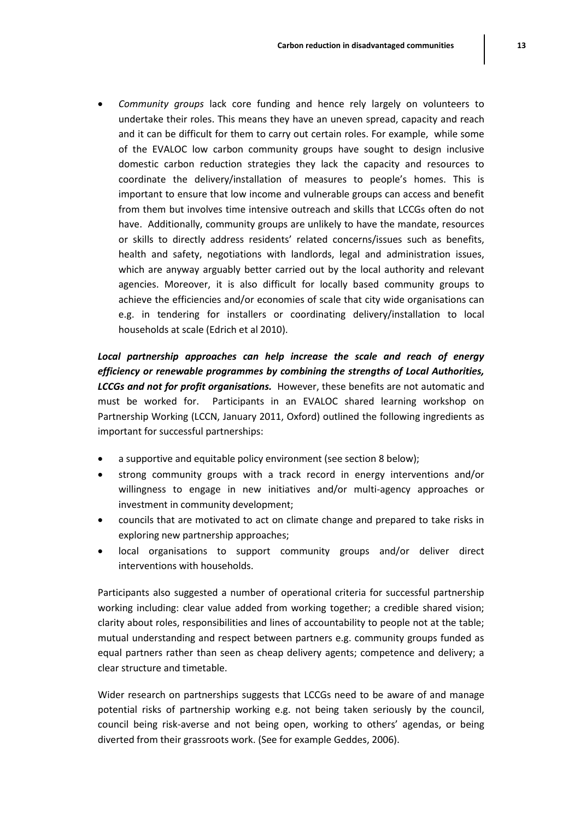*Community groups* lack core funding and hence rely largely on volunteers to undertake their roles. This means they have an uneven spread, capacity and reach and it can be difficult for them to carry out certain roles. For example, while some of the EVALOC low carbon community groups have sought to design inclusive domestic carbon reduction strategies they lack the capacity and resources to coordinate the delivery/installation of measures to people's homes. This is important to ensure that low income and vulnerable groups can access and benefit from them but involves time intensive outreach and skills that LCCGs often do not have. Additionally, community groups are unlikely to have the mandate, resources or skills to directly address residents' related concerns/issues such as benefits, health and safety, negotiations with landlords, legal and administration issues, which are anyway arguably better carried out by the local authority and relevant agencies. Moreover, it is also difficult for locally based community groups to achieve the efficiencies and/or economies of scale that city wide organisations can e.g. in tendering for installers or coordinating delivery/installation to local households at scale (Edrich et al 2010).

*Local partnership approaches can help increase the scale and reach of energy efficiency or renewable programmes by combining the strengths of Local Authorities, LCCGs and not for profit organisations.* However, these benefits are not automatic and must be worked for. Participants in an EVALOC shared learning workshop on Partnership Working (LCCN, January 2011, Oxford) outlined the following ingredients as important for successful partnerships:

- a supportive and equitable policy environment (see section 8 below);
- strong community groups with a track record in energy interventions and/or willingness to engage in new initiatives and/or multi-agency approaches or investment in community development;
- councils that are motivated to act on climate change and prepared to take risks in exploring new partnership approaches;
- local organisations to support community groups and/or deliver direct interventions with households.

Participants also suggested a number of operational criteria for successful partnership working including: clear value added from working together; a credible shared vision; clarity about roles, responsibilities and lines of accountability to people not at the table; mutual understanding and respect between partners e.g. community groups funded as equal partners rather than seen as cheap delivery agents; competence and delivery; a clear structure and timetable.

Wider research on partnerships suggests that LCCGs need to be aware of and manage potential risks of partnership working e.g. not being taken seriously by the council, council being risk-averse and not being open, working to others' agendas, or being diverted from their grassroots work. (See for example Geddes, 2006).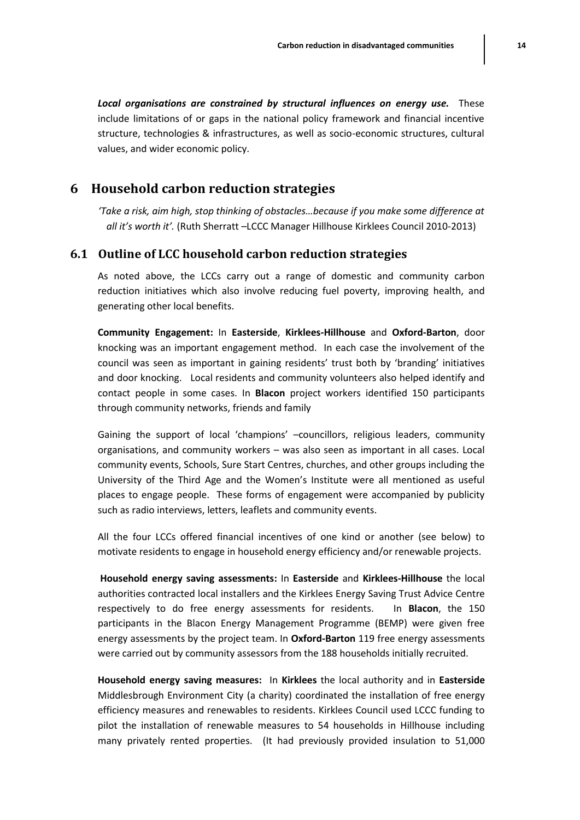*Local organisations are constrained by structural influences on energy use.* These include limitations of or gaps in the national policy framework and financial incentive structure, technologies & infrastructures, as well as socio-economic structures, cultural values, and wider economic policy.

#### **6 Household carbon reduction strategies**

*'Take a risk, aim high, stop thinking of obstacles…because if you make some difference at all it's worth it'.* (Ruth Sherratt –LCCC Manager Hillhouse Kirklees Council 2010-2013)

#### **6.1 Outline of LCC household carbon reduction strategies**

As noted above, the LCCs carry out a range of domestic and community carbon reduction initiatives which also involve reducing fuel poverty, improving health, and generating other local benefits.

**Community Engagement:** In **Easterside**, **Kirklees-Hillhouse** and **Oxford-Barton**, door knocking was an important engagement method. In each case the involvement of the council was seen as important in gaining residents' trust both by 'branding' initiatives and door knocking. Local residents and community volunteers also helped identify and contact people in some cases. In **Blacon** project workers identified 150 participants through community networks, friends and family

Gaining the support of local 'champions' –councillors, religious leaders, community organisations, and community workers – was also seen as important in all cases. Local community events, Schools, Sure Start Centres, churches, and other groups including the University of the Third Age and the Women's Institute were all mentioned as useful places to engage people. These forms of engagement were accompanied by publicity such as radio interviews, letters, leaflets and community events.

All the four LCCs offered financial incentives of one kind or another (see below) to motivate residents to engage in household energy efficiency and/or renewable projects.

**Household energy saving assessments:** In **Easterside** and **Kirklees-Hillhouse** the local authorities contracted local installers and the Kirklees Energy Saving Trust Advice Centre respectively to do free energy assessments for residents. In **Blacon**, the 150 participants in the Blacon Energy Management Programme (BEMP) were given free energy assessments by the project team. In **Oxford-Barton** 119 free energy assessments were carried out by community assessors from the 188 households initially recruited.

**Household energy saving measures:** In **Kirklees** the local authority and in **Easterside** Middlesbrough Environment City (a charity) coordinated the installation of free energy efficiency measures and renewables to residents. Kirklees Council used LCCC funding to pilot the installation of renewable measures to 54 households in Hillhouse including many privately rented properties. (It had previously provided insulation to 51,000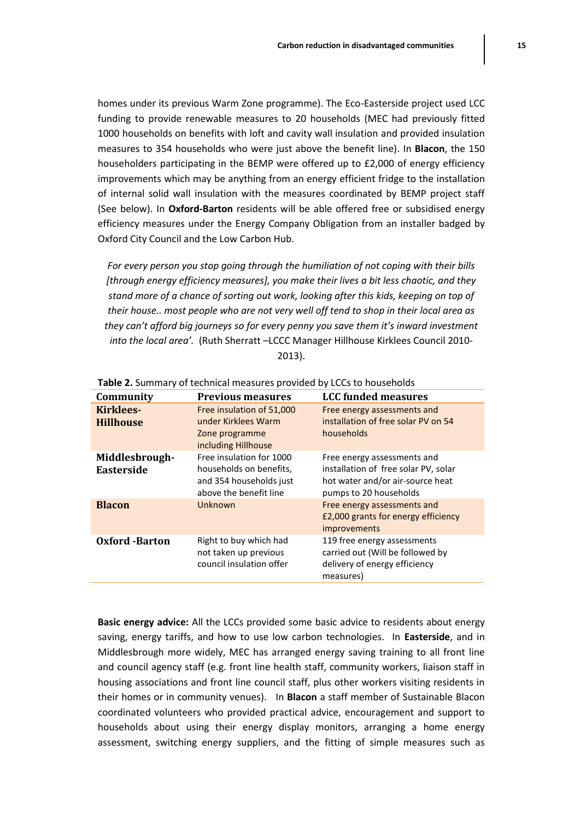homes under its previous Warm Zone programme). The Eco-Easterside project used LCC funding to provide renewable measures to 20 households (MEC had previously fitted 1000 households on benefits with loft and cavity wall insulation and provided insulation measures to 354 households who were just above the benefit line). In **Blacon**, the 150 householders participating in the BEMP were offered up to £2,000 of energy efficiency improvements which may be anything from an energy efficient fridge to the installation of internal solid wall insulation with the measures coordinated by BEMP project staff (See below). In **Oxford-Barton** residents will be able offered free or subsidised energy efficiency measures under the Energy Company Obligation from an installer badged by Oxford City Council and the Low Carbon Hub.

*For every person you stop going through the humiliation of not coping with their bills [through energy efficiency measures], you make their lives a bit less chaotic, and they stand more of a chance of sorting out work, looking after this kids, keeping on top of their house.. most people who are not very well off tend to shop in their local area as they can't afford big journeys so for every penny you save them it's inward investment into the local area'.* (Ruth Sherratt –LCCC Manager Hillhouse Kirklees Council 2010- 2013).

| Community                            | <b>Previous measures</b>                                                                                 | <b>LCC funded measures</b>                                                                                                        |
|--------------------------------------|----------------------------------------------------------------------------------------------------------|-----------------------------------------------------------------------------------------------------------------------------------|
| <b>Kirklees-</b><br><b>Hillhouse</b> | Free insulation of 51,000<br>under Kirklees Warm<br>Zone programme<br>including Hillhouse                | Free energy assessments and<br>installation of free solar PV on 54<br>households                                                  |
| Middlesbrough-<br><b>Easterside</b>  | Free insulation for 1000<br>households on benefits,<br>and 354 households just<br>above the benefit line | Free energy assessments and<br>installation of free solar PV, solar<br>hot water and/or air-source heat<br>pumps to 20 households |
| <b>Blacon</b>                        | Unknown                                                                                                  | Free energy assessments and<br>£2,000 grants for energy efficiency<br><i>improvements</i>                                         |
| <b>Oxford</b> -Barton                | Right to buy which had<br>not taken up previous<br>council insulation offer                              | 119 free energy assessments<br>carried out (Will be followed by<br>delivery of energy efficiency<br>measures)                     |

**Table 2.** Summary of technical measures provided by LCCs to households

**Basic energy advice:** All the LCCs provided some basic advice to residents about energy saving, energy tariffs, and how to use low carbon technologies. In **Easterside**, and in Middlesbrough more widely, MEC has arranged energy saving training to all front line and council agency staff (e.g. front line health staff, community workers, liaison staff in housing associations and front line council staff, plus other workers visiting residents in their homes or in community venues). In **Blacon** a staff member of Sustainable Blacon coordinated volunteers who provided practical advice, encouragement and support to households about using their energy display monitors, arranging a home energy assessment, switching energy suppliers, and the fitting of simple measures such as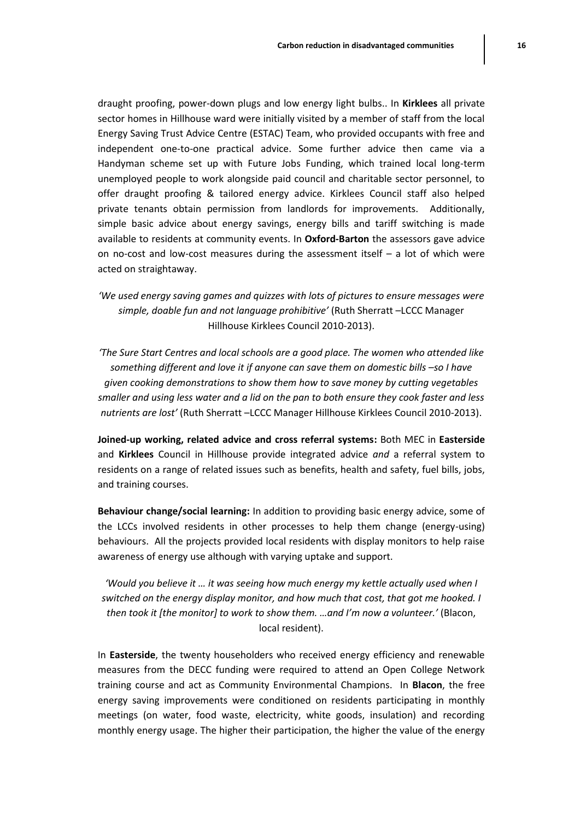draught proofing, power-down plugs and low energy light bulbs.. In **Kirklees** all private sector homes in Hillhouse ward were initially visited by a member of staff from the local Energy Saving Trust Advice Centre (ESTAC) Team, who provided occupants with free and independent one-to-one practical advice. Some further advice then came via a Handyman scheme set up with Future Jobs Funding, which trained local long-term unemployed people to work alongside paid council and charitable sector personnel, to offer draught proofing & tailored energy advice. Kirklees Council staff also helped private tenants obtain permission from landlords for improvements. Additionally, simple basic advice about energy savings, energy bills and tariff switching is made available to residents at community events. In **Oxford-Barton** the assessors gave advice on no-cost and low-cost measures during the assessment itself  $-$  a lot of which were acted on straightaway.

*'We used energy saving games and quizzes with lots of pictures to ensure messages were simple, doable fun and not language prohibitive'* (Ruth Sherratt –LCCC Manager Hillhouse Kirklees Council 2010-2013).

*'The Sure Start Centres and local schools are a good place. The women who attended like something different and love it if anyone can save them on domestic bills -so I have given cooking demonstrations to show them how to save money by cutting vegetables smaller and using less water and a lid on the pan to both ensure they cook faster and less nutrients are lost'* (Ruth Sherratt –LCCC Manager Hillhouse Kirklees Council 2010-2013).

**Joined-up working, related advice and cross referral systems:** Both MEC in **Easterside** and **Kirklees** Council in Hillhouse provide integrated advice *and* a referral system to residents on a range of related issues such as benefits, health and safety, fuel bills, jobs, and training courses.

**Behaviour change/social learning:** In addition to providing basic energy advice, some of the LCCs involved residents in other processes to help them change (energy-using) behaviours. All the projects provided local residents with display monitors to help raise awareness of energy use although with varying uptake and support.

*'Would you believe it … it was seeing how much energy my kettle actually used when I switched on the energy display monitor, and how much that cost, that got me hooked. I then took it [the monitor] to work to show them. …and I'm now a volunteer.'* (Blacon, local resident).

In **Easterside**, the twenty householders who received energy efficiency and renewable measures from the DECC funding were required to attend an Open College Network training course and act as Community Environmental Champions. In **Blacon**, the free energy saving improvements were conditioned on residents participating in monthly meetings (on water, food waste, electricity, white goods, insulation) and recording monthly energy usage. The higher their participation, the higher the value of the energy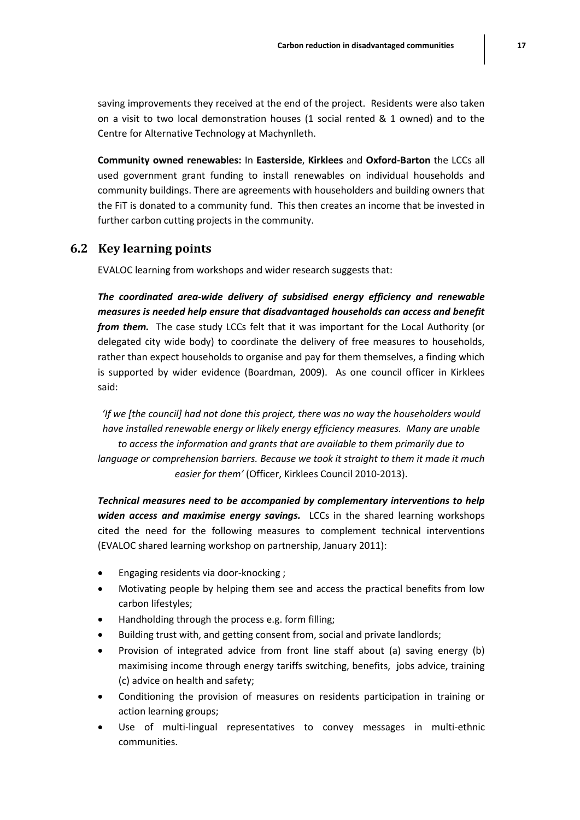saving improvements they received at the end of the project. Residents were also taken on a visit to two local demonstration houses (1 social rented & 1 owned) and to the Centre for Alternative Technology at Machynlleth.

**Community owned renewables:** In **Easterside**, **Kirklees** and **Oxford-Barton** the LCCs all used government grant funding to install renewables on individual households and community buildings. There are agreements with householders and building owners that the FiT is donated to a community fund. This then creates an income that be invested in further carbon cutting projects in the community.

#### **6.2 Key learning points**

EVALOC learning from workshops and wider research suggests that:

*The coordinated area-wide delivery of subsidised energy efficiency and renewable measures is needed help ensure that disadvantaged households can access and benefit from them.* The case study LCCs felt that it was important for the Local Authority (or delegated city wide body) to coordinate the delivery of free measures to households, rather than expect households to organise and pay for them themselves, a finding which is supported by wider evidence (Boardman, 2009). As one council officer in Kirklees said:

*'If we [the council] had not done this project, there was no way the householders would have installed renewable energy or likely energy efficiency measures. Many are unable to access the information and grants that are available to them primarily due to language or comprehension barriers. Because we took it straight to them it made it much easier for them'* (Officer, Kirklees Council 2010-2013).

*Technical measures need to be accompanied by complementary interventions to help widen access and maximise energy savings.* LCCs in the shared learning workshops cited the need for the following measures to complement technical interventions (EVALOC shared learning workshop on partnership, January 2011):

- Engaging residents via door-knocking ;
- Motivating people by helping them see and access the practical benefits from low carbon lifestyles;
- Handholding through the process e.g. form filling;
- Building trust with, and getting consent from, social and private landlords;
- Provision of integrated advice from front line staff about (a) saving energy (b) maximising income through energy tariffs switching, benefits, jobs advice, training (c) advice on health and safety;
- Conditioning the provision of measures on residents participation in training or action learning groups;
- Use of multi-lingual representatives to convey messages in multi-ethnic communities.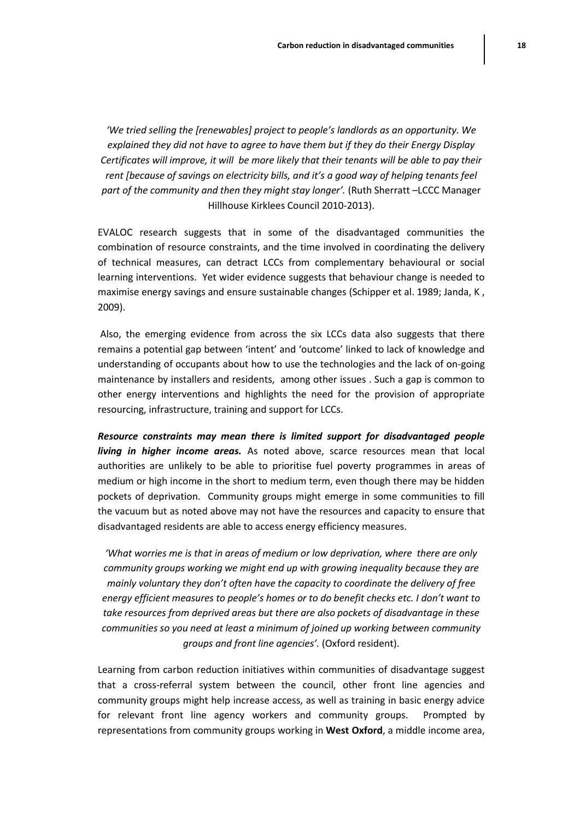*'We tried selling the [renewables] project to people's landlords as an opportunity. We explained they did not have to agree to have them but if they do their Energy Display Certificates will improve, it will be more likely that their tenants will be able to pay their rent [because of savings on electricity bills, and it's a good way of helping tenants feel* part of the community and then they might stay longer'. (Ruth Sherratt -LCCC Manager Hillhouse Kirklees Council 2010-2013).

EVALOC research suggests that in some of the disadvantaged communities the combination of resource constraints, and the time involved in coordinating the delivery of technical measures, can detract LCCs from complementary behavioural or social learning interventions. Yet wider evidence suggests that behaviour change is needed to maximise energy savings and ensure sustainable changes (Schipper et al. 1989; Janda, K, 2009).

Also, the emerging evidence from across the six LCCs data also suggests that there remains a potential gap between 'intent' and 'outcome' linked to lack of knowledge and understanding of occupants about how to use the technologies and the lack of on-going maintenance by installers and residents, among other issues . Such a gap is common to other energy interventions and highlights the need for the provision of appropriate resourcing, infrastructure, training and support for LCCs.

*Resource constraints may mean there is limited support for disadvantaged people living in higher income areas.* As noted above, scarce resources mean that local authorities are unlikely to be able to prioritise fuel poverty programmes in areas of medium or high income in the short to medium term, even though there may be hidden pockets of deprivation. Community groups might emerge in some communities to fill the vacuum but as noted above may not have the resources and capacity to ensure that disadvantaged residents are able to access energy efficiency measures.

*'What worries me is that in areas of medium or low deprivation, where there are only community groups working we might end up with growing inequality because they are mainly voluntary they don't often have the capacity to coordinate the delivery of free energy efficient measures to people's homes or to do benefit checks etc. I don't want to take resources from deprived areas but there are also pockets of disadvantage in these communities so you need at least a minimum of joined up working between community groups and front line agencies'.* (Oxford resident).

Learning from carbon reduction initiatives within communities of disadvantage suggest that a cross-referral system between the council, other front line agencies and community groups might help increase access, as well as training in basic energy advice for relevant front line agency workers and community groups. Prompted by representations from community groups working in **West Oxford**, a middle income area,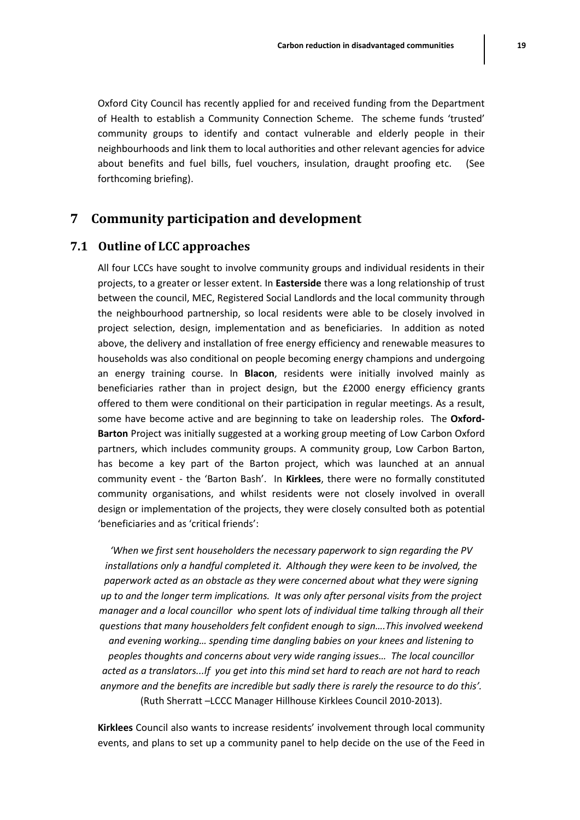Oxford City Council has recently applied for and received funding from the Department of Health to establish a Community Connection Scheme. The scheme funds 'trusted' community groups to identify and contact vulnerable and elderly people in their neighbourhoods and link them to local authorities and other relevant agencies for advice about benefits and fuel bills, fuel vouchers, insulation, draught proofing etc. (See forthcoming briefing).

# **7 Community participation and development**

#### **7.1 Outline of LCC approaches**

All four LCCs have sought to involve community groups and individual residents in their projects, to a greater or lesser extent. In **Easterside** there was a long relationship of trust between the council, MEC, Registered Social Landlords and the local community through the neighbourhood partnership, so local residents were able to be closely involved in project selection, design, implementation and as beneficiaries. In addition as noted above, the delivery and installation of free energy efficiency and renewable measures to households was also conditional on people becoming energy champions and undergoing an energy training course. In **Blacon**, residents were initially involved mainly as beneficiaries rather than in project design, but the £2000 energy efficiency grants offered to them were conditional on their participation in regular meetings. As a result, some have become active and are beginning to take on leadership roles. The **Oxford-Barton** Project was initially suggested at a working group meeting of Low Carbon Oxford partners, which includes community groups. A community group, Low Carbon Barton, has become a key part of the Barton project, which was launched at an annual community event - the 'Barton Bash'. In **Kirklees**, there were no formally constituted community organisations, and whilst residents were not closely involved in overall design or implementation of the projects, they were closely consulted both as potential 'beneficiaries and as 'critical friends':

*'When we first sent householders the necessary paperwork to sign regarding the PV installations only a handful completed it. Although they were keen to be involved, the paperwork acted as an obstacle as they were concerned about what they were signing up to and the longer term implications. It was only after personal visits from the project manager and a local councillor who spent lots of individual time talking through all their questions that many householders felt confident enough to sign….This involved weekend and evening working… spending time dangling babies on your knees and listening to peoples thoughts and concerns about very wide ranging issues… The local councillor acted as a translators...If you get into this mind set hard to reach are not hard to reach anymore and the benefits are incredible but sadly there is rarely the resource to do this'.* (Ruth Sherratt –LCCC Manager Hillhouse Kirklees Council 2010-2013).

**Kirklees** Council also wants to increase residents' involvement through local community events, and plans to set up a community panel to help decide on the use of the Feed in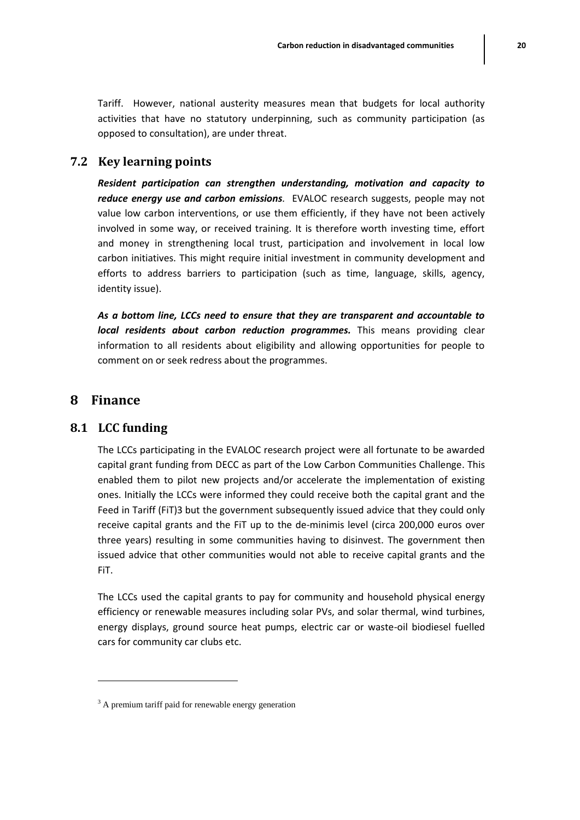Tariff. However, national austerity measures mean that budgets for local authority activities that have no statutory underpinning, such as community participation (as opposed to consultation), are under threat.

# **7.2 Key learning points**

*Resident participation can strengthen understanding, motivation and capacity to reduce energy use and carbon emissions.* EVALOC research suggests, people may not value low carbon interventions, or use them efficiently, if they have not been actively involved in some way, or received training. It is therefore worth investing time, effort and money in strengthening local trust, participation and involvement in local low carbon initiatives. This might require initial investment in community development and efforts to address barriers to participation (such as time, language, skills, agency, identity issue).

*As a bottom line, LCCs need to ensure that they are transparent and accountable to local residents about carbon reduction programmes.* This means providing clear information to all residents about eligibility and allowing opportunities for people to comment on or seek redress about the programmes.

# **8 Finance**

 $\overline{\phantom{a}}$ 

# **8.1 LCC funding**

The LCCs participating in the EVALOC research project were all fortunate to be awarded capital grant funding from DECC as part of the Low Carbon Communities Challenge. This enabled them to pilot new projects and/or accelerate the implementation of existing ones. Initially the LCCs were informed they could receive both the capital grant and the Feed in Tariff (FiT)3 but the government subsequently issued advice that they could only receive capital grants and the FiT up to the de-minimis level (circa 200,000 euros over three years) resulting in some communities having to disinvest. The government then issued advice that other communities would not able to receive capital grants and the FiT.

The LCCs used the capital grants to pay for community and household physical energy efficiency or renewable measures including solar PVs, and solar thermal, wind turbines, energy displays, ground source heat pumps, electric car or waste-oil biodiesel fuelled cars for community car clubs etc.

<sup>&</sup>lt;sup>3</sup> A premium tariff paid for renewable energy generation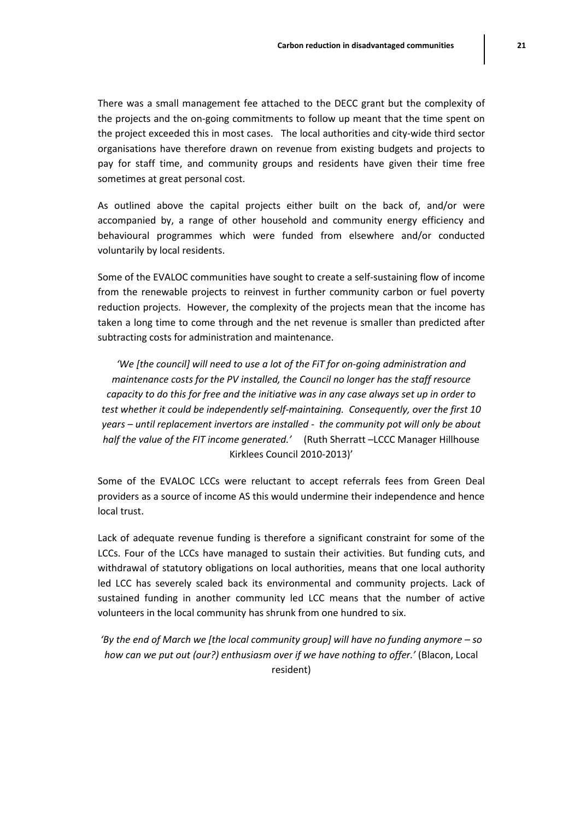There was a small management fee attached to the DECC grant but the complexity of the projects and the on-going commitments to follow up meant that the time spent on the project exceeded this in most cases. The local authorities and city-wide third sector organisations have therefore drawn on revenue from existing budgets and projects to pay for staff time, and community groups and residents have given their time free sometimes at great personal cost.

As outlined above the capital projects either built on the back of, and/or were accompanied by, a range of other household and community energy efficiency and behavioural programmes which were funded from elsewhere and/or conducted voluntarily by local residents.

Some of the EVALOC communities have sought to create a self-sustaining flow of income from the renewable projects to reinvest in further community carbon or fuel poverty reduction projects. However, the complexity of the projects mean that the income has taken a long time to come through and the net revenue is smaller than predicted after subtracting costs for administration and maintenance.

*'We [the council] will need to use a lot of the FiT for on-going administration and maintenance costs for the PV installed, the Council no longer has the staff resource capacity to do this for free and the initiative was in any case always set up in order to test whether it could be independently self-maintaining. Consequently, over the first 10 years – until replacement invertors are installed - the community pot will only be about half the value of the FIT income generated.'* (Ruth Sherratt –LCCC Manager Hillhouse Kirklees Council 2010-2013)'

Some of the EVALOC LCCs were reluctant to accept referrals fees from Green Deal providers as a source of income AS this would undermine their independence and hence local trust.

Lack of adequate revenue funding is therefore a significant constraint for some of the LCCs. Four of the LCCs have managed to sustain their activities. But funding cuts, and withdrawal of statutory obligations on local authorities, means that one local authority led LCC has severely scaled back its environmental and community projects. Lack of sustained funding in another community led LCC means that the number of active volunteers in the local community has shrunk from one hundred to six.

*'By the end of March we [the local community group] will have no funding anymore – so how can we put out (our?) enthusiasm over if we have nothing to offer.'* (Blacon, Local resident)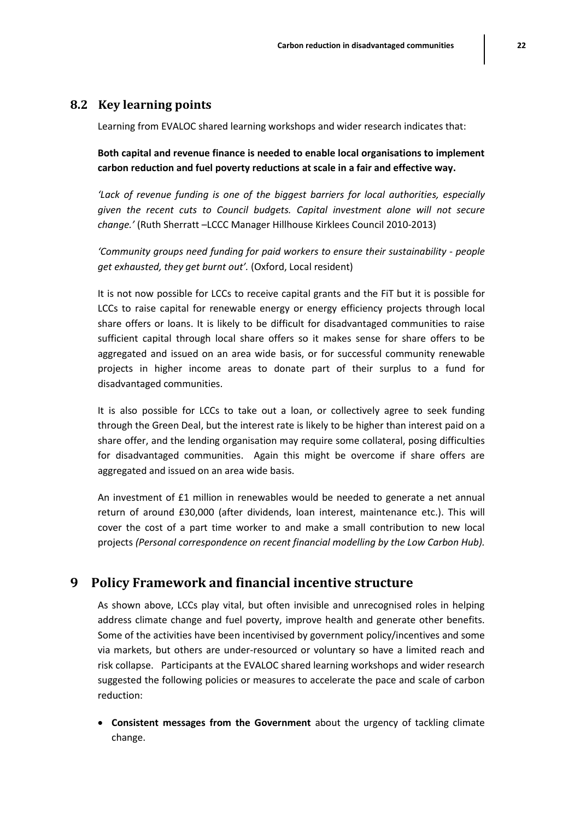#### **8.2 Key learning points**

Learning from EVALOC shared learning workshops and wider research indicates that:

**Both capital and revenue finance is needed to enable local organisations to implement carbon reduction and fuel poverty reductions at scale in a fair and effective way.**

*'Lack of revenue funding is one of the biggest barriers for local authorities, especially given the recent cuts to Council budgets. Capital investment alone will not secure change.'* (Ruth Sherratt –LCCC Manager Hillhouse Kirklees Council 2010-2013)

*'Community groups need funding for paid workers to ensure their sustainability - people get exhausted, they get burnt out'.* (Oxford, Local resident)

It is not now possible for LCCs to receive capital grants and the FiT but it is possible for LCCs to raise capital for renewable energy or energy efficiency projects through local share offers or loans. It is likely to be difficult for disadvantaged communities to raise sufficient capital through local share offers so it makes sense for share offers to be aggregated and issued on an area wide basis, or for successful community renewable projects in higher income areas to donate part of their surplus to a fund for disadvantaged communities.

It is also possible for LCCs to take out a loan, or collectively agree to seek funding through the Green Deal, but the interest rate is likely to be higher than interest paid on a share offer, and the lending organisation may require some collateral, posing difficulties for disadvantaged communities. Again this might be overcome if share offers are aggregated and issued on an area wide basis.

An investment of £1 million in renewables would be needed to generate a net annual return of around £30,000 (after dividends, loan interest, maintenance etc.). This will cover the cost of a part time worker to and make a small contribution to new local projects *(Personal correspondence on recent financial modelling by the Low Carbon Hub).*

### **9 Policy Framework and financial incentive structure**

As shown above, LCCs play vital, but often invisible and unrecognised roles in helping address climate change and fuel poverty, improve health and generate other benefits. Some of the activities have been incentivised by government policy/incentives and some via markets, but others are under-resourced or voluntary so have a limited reach and risk collapse. Participants at the EVALOC shared learning workshops and wider research suggested the following policies or measures to accelerate the pace and scale of carbon reduction:

 **Consistent messages from the Government** about the urgency of tackling climate change.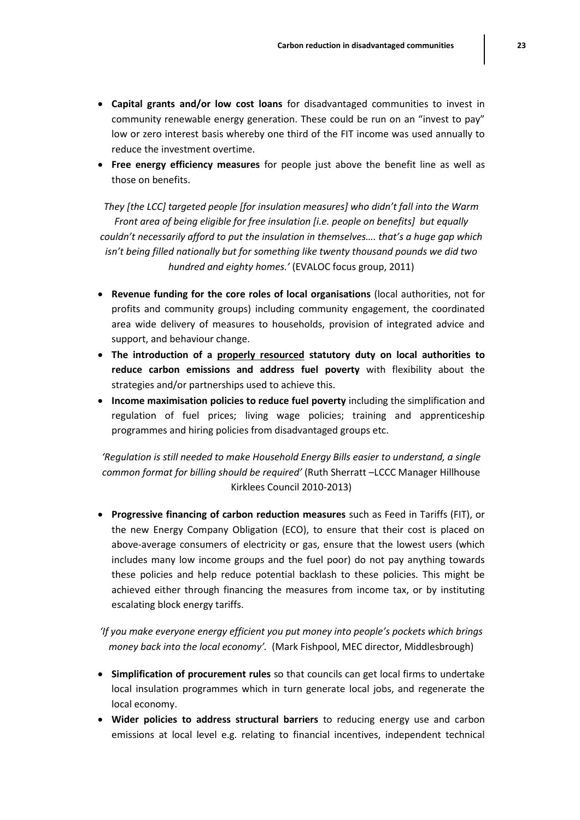- **Capital grants and/or low cost loans** for disadvantaged communities to invest in community renewable energy generation. These could be run on an "invest to pay" low or zero interest basis whereby one third of the FIT income was used annually to reduce the investment overtime.
- **Free energy efficiency measures** for people just above the benefit line as well as those on benefits.

*They [the LCC] targeted people [for insulation measures] who didn't fall into the Warm Front area of being eligible for free insulation [i.e. people on benefits] but equally couldn't necessarily afford to put the insulation in themselves…. that's a huge gap which isn't being filled nationally but for something like twenty thousand pounds we did two hundred and eighty homes.'* (EVALOC focus group, 2011)

- **Revenue funding for the core roles of local organisations** (local authorities, not for profits and community groups) including community engagement, the coordinated area wide delivery of measures to households, provision of integrated advice and support, and behaviour change.
- **The introduction of a properly resourced statutory duty on local authorities to reduce carbon emissions and address fuel poverty** with flexibility about the strategies and/or partnerships used to achieve this.
- **Income maximisation policies to reduce fuel poverty** including the simplification and regulation of fuel prices; living wage policies; training and apprenticeship programmes and hiring policies from disadvantaged groups etc.

*'Regulation is still needed to make Household Energy Bills easier to understand, a single common format for billing should be required'* (Ruth Sherratt –LCCC Manager Hillhouse Kirklees Council 2010-2013)

 **Progressive financing of carbon reduction measures** such as Feed in Tariffs (FIT), or the new Energy Company Obligation (ECO), to ensure that their cost is placed on above-average consumers of electricity or gas, ensure that the lowest users (which includes many low income groups and the fuel poor) do not pay anything towards these policies and help reduce potential backlash to these policies. This might be achieved either through financing the measures from income tax, or by instituting escalating block energy tariffs.

*'If you make everyone energy efficient you put money into people's pockets which brings money back into the local economy'.* (Mark Fishpool, MEC director, Middlesbrough)

- **Simplification of procurement rules** so that councils can get local firms to undertake local insulation programmes which in turn generate local jobs, and regenerate the local economy.
- **Wider policies to address structural barriers** to reducing energy use and carbon emissions at local level e.g. relating to financial incentives, independent technical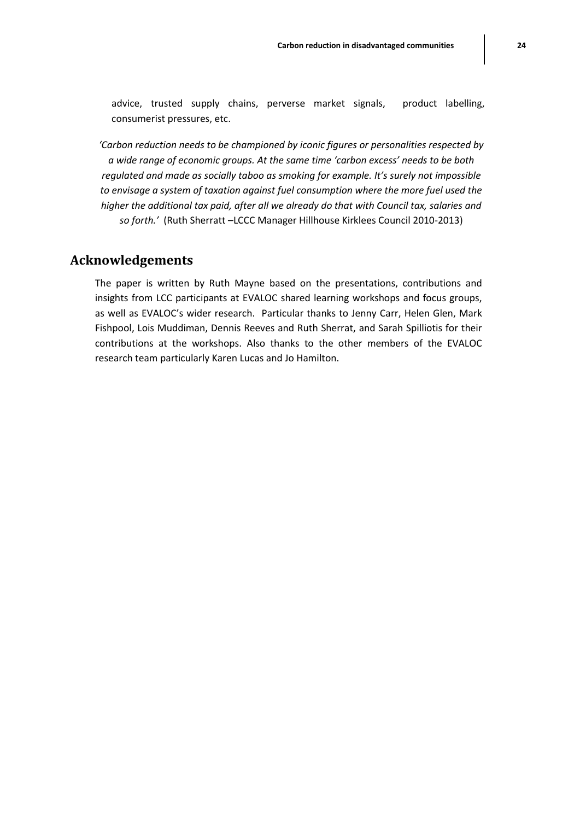advice, trusted supply chains, perverse market signals, product labelling, consumerist pressures, etc.

*'Carbon reduction needs to be championed by iconic figures or personalities respected by a wide range of economic groups. At the same time 'carbon excess' needs to be both regulated and made as socially taboo as smoking for example. It's surely not impossible to envisage a system of taxation against fuel consumption where the more fuel used the higher the additional tax paid, after all we already do that with Council tax, salaries and so forth.'* (Ruth Sherratt –LCCC Manager Hillhouse Kirklees Council 2010-2013)

#### **Acknowledgements**

The paper is written by Ruth Mayne based on the presentations, contributions and insights from LCC participants at EVALOC shared learning workshops and focus groups, as well as EVALOC's wider research. Particular thanks to Jenny Carr, Helen Glen, Mark Fishpool, Lois Muddiman, Dennis Reeves and Ruth Sherrat, and Sarah Spilliotis for their contributions at the workshops. Also thanks to the other members of the EVALOC research team particularly Karen Lucas and Jo Hamilton.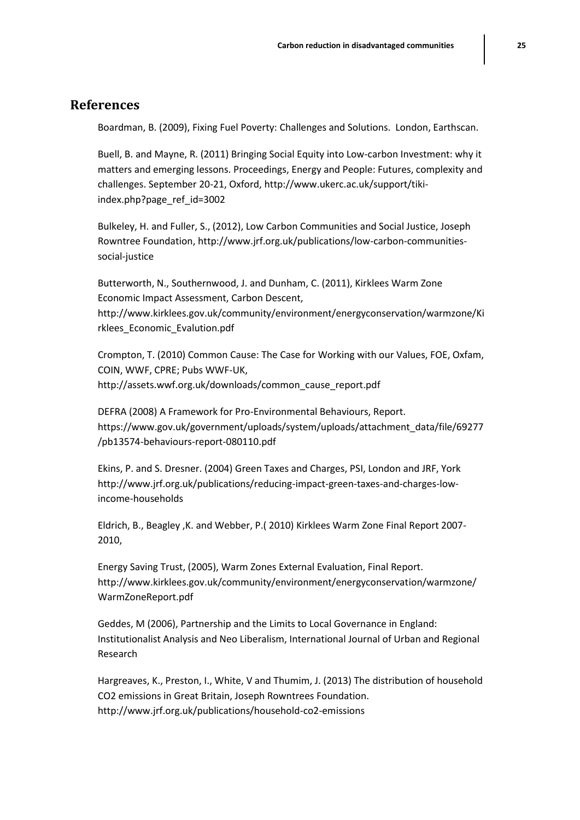#### **References**

Boardman, B. (2009), Fixing Fuel Poverty: Challenges and Solutions. London, Earthscan.

Buell, B. and Mayne, R. (2011) Bringing Social Equity into Low-carbon Investment: why it matters and emerging lessons. Proceedings, Energy and People: Futures, complexity and challenges. September 20-21, Oxford, http://www.ukerc.ac.uk/support/tikiindex.php?page\_ref\_id=3002

Bulkeley, H. and Fuller, S., (2012), Low Carbon Communities and Social Justice, Joseph Rowntree Foundation, http://www.jrf.org.uk/publications/low-carbon-communitiessocial-justice

Butterworth, N., Southernwood, J. and Dunham, C. (2011), Kirklees Warm Zone Economic Impact Assessment, Carbon Descent, http://www.kirklees.gov.uk/community/environment/energyconservation/warmzone/Ki rklees\_Economic\_Evalution.pdf

Crompton, T. (2010) Common Cause: The Case for Working with our Values, FOE, Oxfam, COIN, WWF, CPRE; Pubs WWF-UK, http://assets.wwf.org.uk/downloads/common\_cause\_report.pdf

DEFRA (2008) A Framework for Pro-Environmental Behaviours, Report. https://www.gov.uk/government/uploads/system/uploads/attachment\_data/file/69277 /pb13574-behaviours-report-080110.pdf

Ekins, P. and S. Dresner. (2004) Green Taxes and Charges, PSI, London and JRF, York http://www.jrf.org.uk/publications/reducing-impact-green-taxes-and-charges-lowincome-households

Eldrich, B., Beagley ,K. and Webber, P.( 2010) Kirklees Warm Zone Final Report 2007- 2010,

Energy Saving Trust, (2005), Warm Zones External Evaluation, Final Report. http://www.kirklees.gov.uk/community/environment/energyconservation/warmzone/ WarmZoneReport.pdf

Geddes, M (2006), Partnership and the Limits to Local Governance in England: Institutionalist Analysis and Neo Liberalism, International Journal of Urban and Regional Research

Hargreaves, K., Preston, I., White, V and Thumim, J. (2013) The distribution of household CO2 emissions in Great Britain, Joseph Rowntrees Foundation. http://www.jrf.org.uk/publications/household-co2-emissions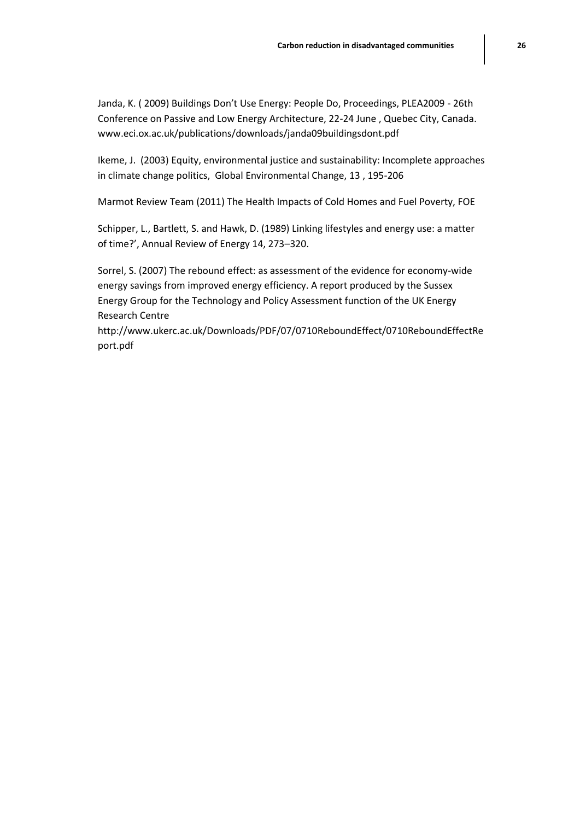Janda, K. ( 2009) Buildings Don't Use Energy: People Do, Proceedings, PLEA2009 - 26th Conference on Passive and Low Energy Architecture, 22-24 June , Quebec City, Canada. www.eci.ox.ac.uk/publications/downloads/janda09buildingsdont.pdf

Ikeme, J. (2003) Equity, environmental justice and sustainability: Incomplete approaches in climate change politics, Global Environmental Change, 13 , 195-206

Marmot Review Team (2011) The Health Impacts of Cold Homes and Fuel Poverty, FOE

Schipper, L., Bartlett, S. and Hawk, D. (1989) Linking lifestyles and energy use: a matter of time?', Annual Review of Energy 14, 273–320.

Sorrel, S. (2007) The rebound effect: as assessment of the evidence for economy-wide energy savings from improved energy efficiency. A report produced by the Sussex Energy Group for the Technology and Policy Assessment function of the UK Energy Research Centre

http://www.ukerc.ac.uk/Downloads/PDF/07/0710ReboundEffect/0710ReboundEffectRe port.pdf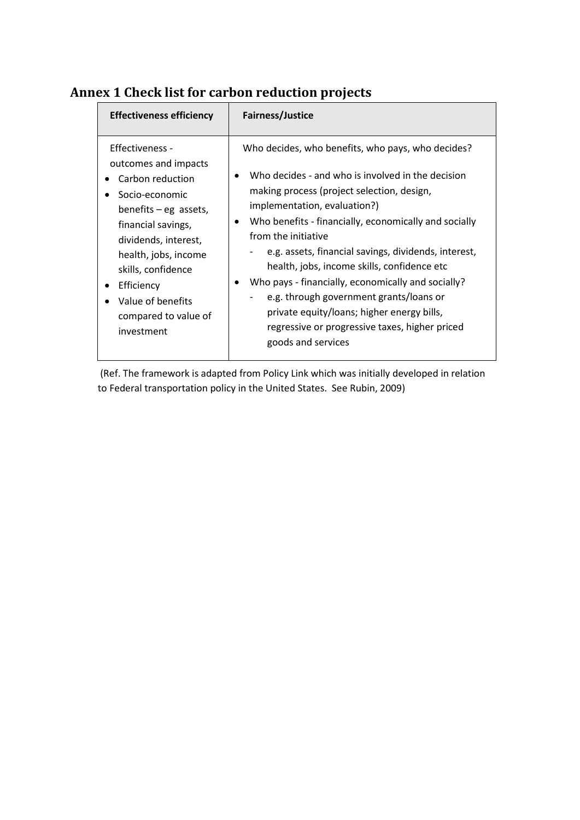| <b>Effectiveness efficiency</b>                                                                                                                                                                                                                                               | <b>Fairness/Justice</b>                                                                                                                                                                                                                                                                                                                                                                                                                                                                                                                                                                            |
|-------------------------------------------------------------------------------------------------------------------------------------------------------------------------------------------------------------------------------------------------------------------------------|----------------------------------------------------------------------------------------------------------------------------------------------------------------------------------------------------------------------------------------------------------------------------------------------------------------------------------------------------------------------------------------------------------------------------------------------------------------------------------------------------------------------------------------------------------------------------------------------------|
| Effectiveness -<br>outcomes and impacts<br>Carbon reduction<br>Socio-economic<br>benefits $-$ eg assets,<br>financial savings,<br>dividends, interest,<br>health, jobs, income<br>skills, confidence<br>Efficiency<br>Value of benefits<br>compared to value of<br>investment | Who decides, who benefits, who pays, who decides?<br>Who decides - and who is involved in the decision<br>making process (project selection, design,<br>implementation, evaluation?)<br>Who benefits - financially, economically and socially<br>from the initiative<br>e.g. assets, financial savings, dividends, interest,<br>health, jobs, income skills, confidence etc<br>Who pays - financially, economically and socially?<br>e.g. through government grants/loans or<br>private equity/loans; higher energy bills,<br>regressive or progressive taxes, higher priced<br>goods and services |

# **Annex 1 Check list for carbon reduction projects**

(Ref. The framework is adapted from Policy Link which was initially developed in relation to Federal transportation policy in the United States. See Rubin, 2009)